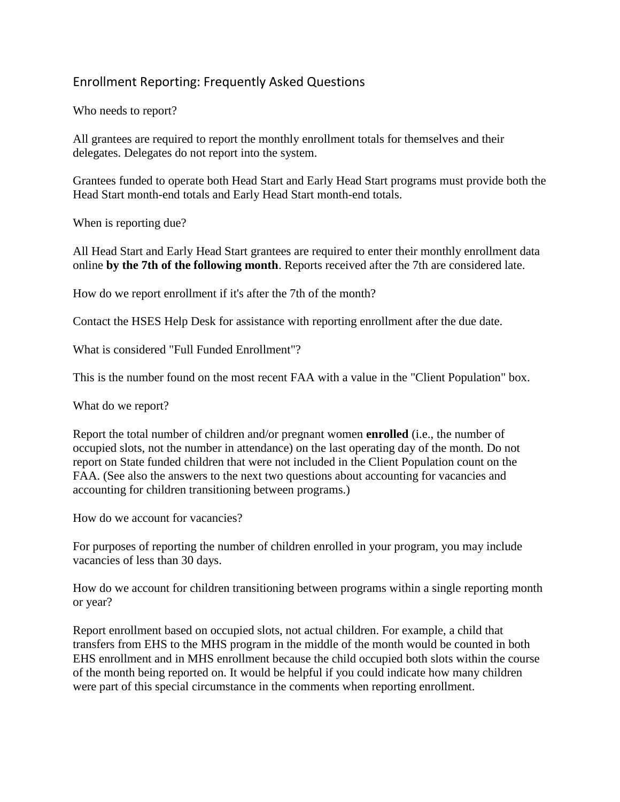## Enrollment Reporting: Frequently Asked Questions

Who needs to report?

All grantees are required to report the monthly enrollment totals for themselves and their delegates. Delegates do not report into the system.

Grantees funded to operate both Head Start and Early Head Start programs must provide both the Head Start month-end totals and Early Head Start month-end totals.

When is reporting due?

All Head Start and Early Head Start grantees are required to enter their monthly enrollment data online **by the 7th of the following month**. Reports received after the 7th are considered late.

How do we report enrollment if it's after the 7th of the month?

Contact the HSES Help Desk for assistance with reporting enrollment after the due date.

What is considered "Full Funded Enrollment"?

This is the number found on the most recent FAA with a value in the "Client Population" box.

What do we report?

Report the total number of children and/or pregnant women **enrolled** (i.e., the number of occupied slots, not the number in attendance) on the last operating day of the month. Do not report on State funded children that were not included in the Client Population count on the FAA. (See also the answers to the next two questions about accounting for vacancies and accounting for children transitioning between programs.)

How do we account for vacancies?

For purposes of reporting the number of children enrolled in your program, you may include vacancies of less than 30 days.

How do we account for children transitioning between programs within a single reporting month or year?

Report enrollment based on occupied slots, not actual children. For example, a child that transfers from EHS to the MHS program in the middle of the month would be counted in both EHS enrollment and in MHS enrollment because the child occupied both slots within the course of the month being reported on. It would be helpful if you could indicate how many children were part of this special circumstance in the comments when reporting enrollment.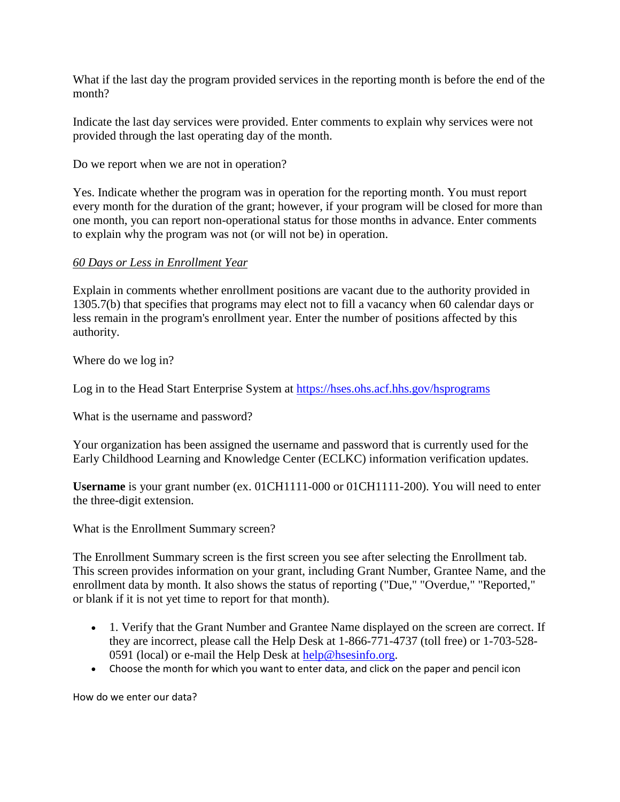What if the last day the program provided services in the reporting month is before the end of the month?

Indicate the last day services were provided. Enter comments to explain why services were not provided through the last operating day of the month.

Do we report when we are not in operation?

Yes. Indicate whether the program was in operation for the reporting month. You must report every month for the duration of the grant; however, if your program will be closed for more than one month, you can report non-operational status for those months in advance. Enter comments to explain why the program was not (or will not be) in operation.

## *60 Days or Less in Enrollment Year*

Explain in comments whether enrollment positions are vacant due to the authority provided in 1305.7(b) that specifies that programs may elect not to fill a vacancy when 60 calendar days or less remain in the program's enrollment year. Enter the number of positions affected by this authority.

Where do we log in?

Log in to the Head Start Enterprise System at<https://hses.ohs.acf.hhs.gov/hsprograms>

What is the username and password?

Your organization has been assigned the username and password that is currently used for the Early Childhood Learning and Knowledge Center (ECLKC) information verification updates.

**Username** is your grant number (ex. 01CH1111-000 or 01CH1111-200). You will need to enter the three-digit extension.

What is the Enrollment Summary screen?

The Enrollment Summary screen is the first screen you see after selecting the Enrollment tab. This screen provides information on your grant, including Grant Number, Grantee Name, and the enrollment data by month. It also shows the status of reporting ("Due," "Overdue," "Reported," or blank if it is not yet time to report for that month).

- 1. Verify that the Grant Number and Grantee Name displayed on the screen are correct. If they are incorrect, please call the Help Desk at 1-866-771-4737 (toll free) or 1-703-528 0591 (local) or e-mail the Help Desk at [help@hsesinfo.org.](mailto:help@hsesinfo.org)
- Choose the month for which you want to enter data, and click on the paper and pencil icon

How do we enter our data?